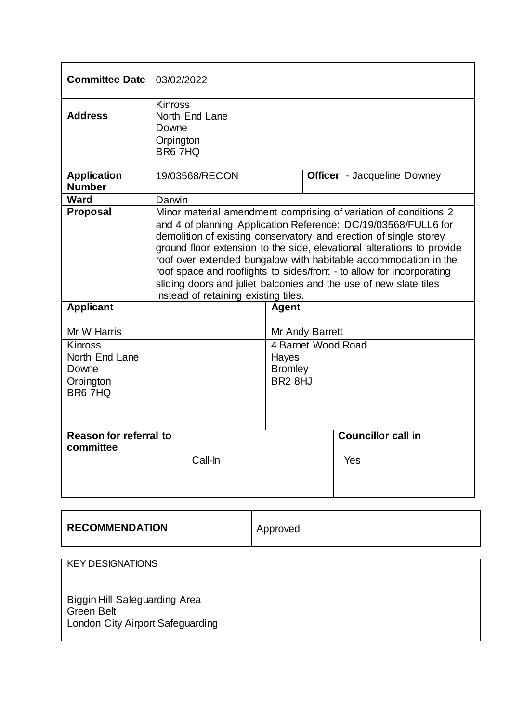| <b>Committee Date</b>               | 03/02/2022                                                                                                                                                                                                                                                                                                                                                                                                                                                                                                                                 |                |                                       |  |                                    |
|-------------------------------------|--------------------------------------------------------------------------------------------------------------------------------------------------------------------------------------------------------------------------------------------------------------------------------------------------------------------------------------------------------------------------------------------------------------------------------------------------------------------------------------------------------------------------------------------|----------------|---------------------------------------|--|------------------------------------|
| <b>Address</b>                      | <b>Kinross</b><br>North End Lane<br>Downe<br>Orpington<br>BR6 7HQ                                                                                                                                                                                                                                                                                                                                                                                                                                                                          |                |                                       |  |                                    |
| <b>Application</b><br><b>Number</b> |                                                                                                                                                                                                                                                                                                                                                                                                                                                                                                                                            | 19/03568/RECON |                                       |  | <b>Officer</b> - Jacqueline Downey |
| <b>Ward</b>                         | Darwin                                                                                                                                                                                                                                                                                                                                                                                                                                                                                                                                     |                |                                       |  |                                    |
| <b>Proposal</b>                     | Minor material amendment comprising of variation of conditions 2<br>and 4 of planning Application Reference: DC/19/03568/FULL6 for<br>demolition of existing conservatory and erection of single storey<br>ground floor extension to the side, elevational alterations to provide<br>roof over extended bungalow with habitable accommodation in the<br>roof space and rooflights to sides/front - to allow for incorporating<br>sliding doors and juliet balconies and the use of new slate tiles<br>instead of retaining existing tiles. |                |                                       |  |                                    |
| <b>Applicant</b>                    |                                                                                                                                                                                                                                                                                                                                                                                                                                                                                                                                            |                | <b>Agent</b>                          |  |                                    |
| Mr W Harris                         |                                                                                                                                                                                                                                                                                                                                                                                                                                                                                                                                            |                | Mr Andy Barrett                       |  |                                    |
| <b>Kinross</b>                      |                                                                                                                                                                                                                                                                                                                                                                                                                                                                                                                                            |                | 4 Barnet Wood Road                    |  |                                    |
| North End Lane                      |                                                                                                                                                                                                                                                                                                                                                                                                                                                                                                                                            |                | Hayes                                 |  |                                    |
| Downe<br>Orpington<br>BR6 7HQ       |                                                                                                                                                                                                                                                                                                                                                                                                                                                                                                                                            |                | <b>Bromley</b><br>BR <sub>2</sub> 8HJ |  |                                    |
| Reason for referral to<br>committee |                                                                                                                                                                                                                                                                                                                                                                                                                                                                                                                                            | Call-In        |                                       |  | <b>Councillor call in</b><br>Yes   |

| <b>RECOMMENDATION</b> | Approved |
|-----------------------|----------|
|                       |          |

| <b>KEY DESIGNATIONS</b>                                                                |  |
|----------------------------------------------------------------------------------------|--|
| Biggin Hill Safeguarding Area<br><b>Green Belt</b><br>London City Airport Safeguarding |  |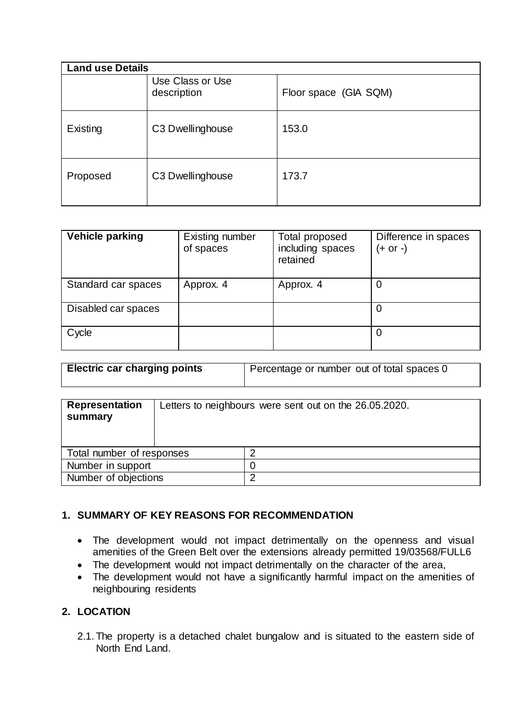| <b>Land use Details</b> |                                 |                       |
|-------------------------|---------------------------------|-----------------------|
|                         | Use Class or Use<br>description | Floor space (GIA SQM) |
| Existing                | C3 Dwellinghouse                | 153.0                 |
| Proposed                | C3 Dwellinghouse                | 173.7                 |

| <b>Vehicle parking</b> | Existing number<br>of spaces | Total proposed<br>including spaces<br>retained | Difference in spaces<br>$(+ or -)$ |
|------------------------|------------------------------|------------------------------------------------|------------------------------------|
| Standard car spaces    | Approx. 4                    | Approx. 4                                      | O                                  |
| Disabled car spaces    |                              |                                                | O                                  |
| Cycle                  |                              |                                                | 0                                  |

| <b>Electric car charging points</b> | Percentage or number out of total spaces 0 |  |  |
|-------------------------------------|--------------------------------------------|--|--|
|                                     |                                            |  |  |

| <b>Representation</b><br>summary |  | Letters to neighbours were sent out on the 26.05.2020. |
|----------------------------------|--|--------------------------------------------------------|
| Total number of responses        |  |                                                        |
| Number in support                |  |                                                        |
| Number of objections             |  | n                                                      |

## **1. SUMMARY OF KEY REASONS FOR RECOMMENDATION**

- The development would not impact detrimentally on the openness and visual amenities of the Green Belt over the extensions already permitted 19/03568/FULL6
- The development would not impact detrimentally on the character of the area,
- The development would not have a significantly harmful impact on the amenities of neighbouring residents

## **2. LOCATION**

2.1. The property is a detached chalet bungalow and is situated to the eastern side of North End Land.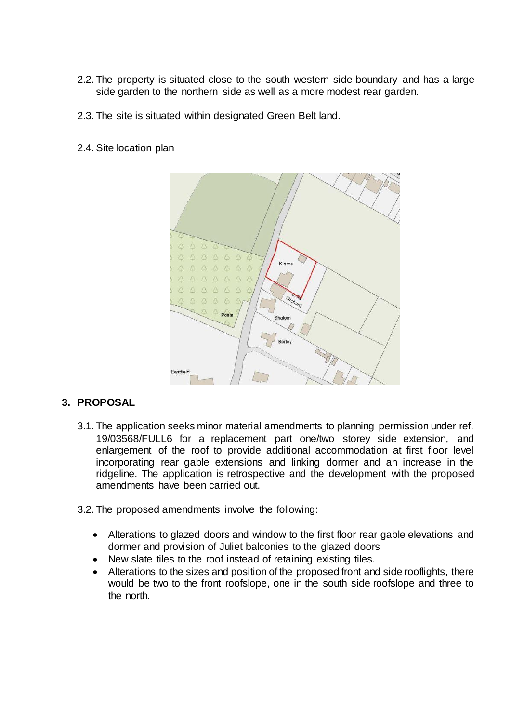- 2.2. The property is situated close to the south western side boundary and has a large side garden to the northern side as well as a more modest rear garden.
- 2.3. The site is situated within designated Green Belt land.
- 2.4.Site location plan



## **3. PROPOSAL**

- 3.1. The application seeks minor material amendments to planning permission under ref. 19/03568/FULL6 for a replacement part one/two storey side extension, and enlargement of the roof to provide additional accommodation at first floor level incorporating rear gable extensions and linking dormer and an increase in the ridgeline. The application is retrospective and the development with the proposed amendments have been carried out.
- 3.2. The proposed amendments involve the following:
	- Alterations to glazed doors and window to the first floor rear gable elevations and dormer and provision of Juliet balconies to the glazed doors
	- New slate tiles to the roof instead of retaining existing tiles.
	- Alterations to the sizes and position of the proposed front and side rooflights, there would be two to the front roofslope, one in the south side roofslope and three to the north.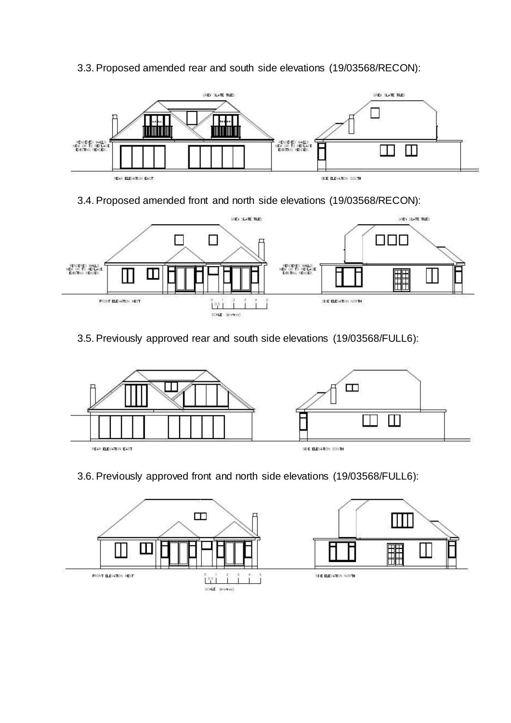

## 3.3.Proposed amended rear and south side elevations (19/03568/RECON):

3.4.Proposed amended front and north side elevations (19/03568/RECON):



# 3.5.Previously approved rear and south side elevations (19/03568/FULL6):



## 3.6.Previously approved front and north side elevations (19/03568/FULL6):

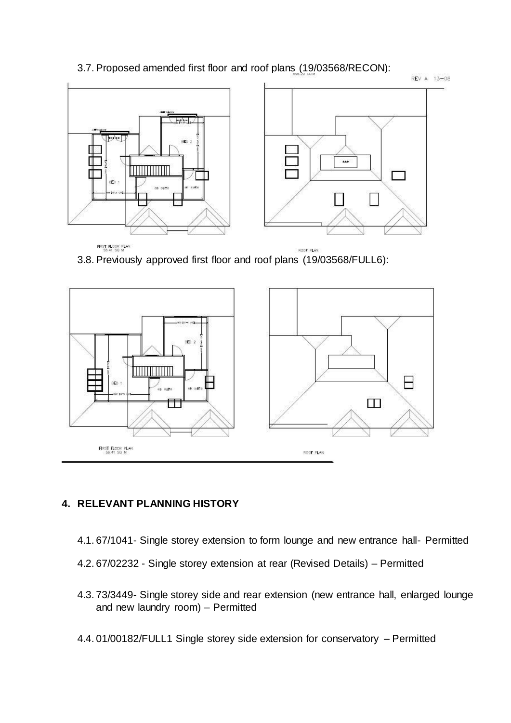## 3.7.Proposed amended first floor and roof plans (19/03568/RECON):



3.8.Previously approved first floor and roof plans (19/03568/FULL6):



# **4. RELEVANT PLANNING HISTORY**

- 4.1. 67/1041- Single storey extension to form lounge and new entrance hall- Permitted
- 4.2. 67/02232 Single storey extension at rear (Revised Details) Permitted
- 4.3. 73/3449- Single storey side and rear extension (new entrance hall, enlarged lounge and new laundry room) – Permitted
- 4.4. 01/00182/FULL1 Single storey side extension for conservatory Permitted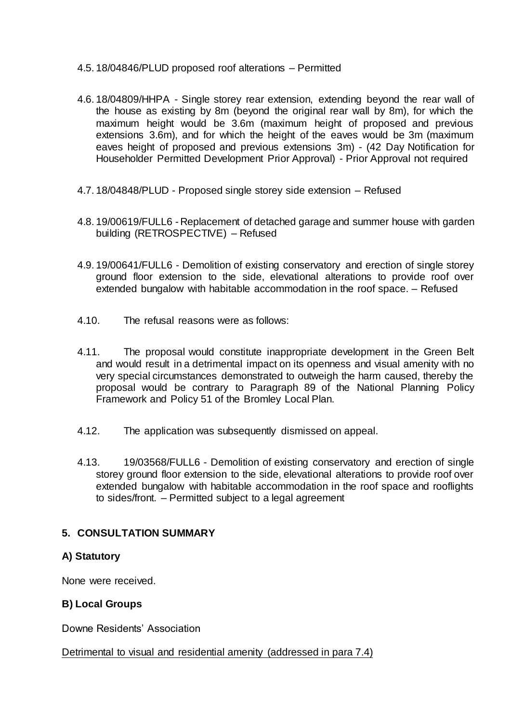- 4.5. 18/04846/PLUD proposed roof alterations Permitted
- 4.6. 18/04809/HHPA Single storey rear extension, extending beyond the rear wall of the house as existing by 8m (beyond the original rear wall by 8m), for which the maximum height would be 3.6m (maximum height of proposed and previous extensions 3.6m), and for which the height of the eaves would be 3m (maximum eaves height of proposed and previous extensions 3m) - (42 Day Notification for Householder Permitted Development Prior Approval) - Prior Approval not required
- 4.7. 18/04848/PLUD Proposed single storey side extension Refused
- 4.8. 19/00619/FULL6 Replacement of detached garage and summer house with garden building (RETROSPECTIVE) – Refused
- 4.9. 19/00641/FULL6 Demolition of existing conservatory and erection of single storey ground floor extension to the side, elevational alterations to provide roof over extended bungalow with habitable accommodation in the roof space. – Refused
- 4.10. The refusal reasons were as follows:
- 4.11. The proposal would constitute inappropriate development in the Green Belt and would result in a detrimental impact on its openness and visual amenity with no very special circumstances demonstrated to outweigh the harm caused, thereby the proposal would be contrary to Paragraph 89 of the National Planning Policy Framework and Policy 51 of the Bromley Local Plan.
- 4.12. The application was subsequently dismissed on appeal.
- 4.13. 19/03568/FULL6 Demolition of existing conservatory and erection of single storey ground floor extension to the side, elevational alterations to provide roof over extended bungalow with habitable accommodation in the roof space and rooflights to sides/front. – Permitted subject to a legal agreement

## **5. CONSULTATION SUMMARY**

## **A) Statutory**

None were received.

## **B) Local Groups**

Downe Residents' Association

### Detrimental to visual and residential amenity (addressed in para 7.4)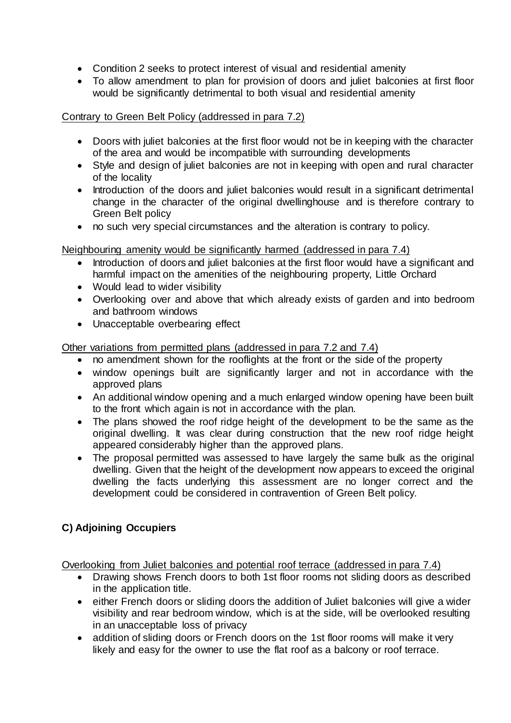- Condition 2 seeks to protect interest of visual and residential amenity
- To allow amendment to plan for provision of doors and juliet balconies at first floor would be significantly detrimental to both visual and residential amenity

## Contrary to Green Belt Policy (addressed in para 7.2)

- Doors with juliet balconies at the first floor would not be in keeping with the character of the area and would be incompatible with surrounding developments
- Style and design of juliet balconies are not in keeping with open and rural character of the locality
- Introduction of the doors and juliet balconies would result in a significant detrimental change in the character of the original dwellinghouse and is therefore contrary to Green Belt policy
- no such very special circumstances and the alteration is contrary to policy.

# Neighbouring amenity would be significantly harmed (addressed in para 7.4)

- Introduction of doors and juliet balconies at the first floor would have a significant and harmful impact on the amenities of the neighbouring property, Little Orchard
- Would lead to wider visibility
- Overlooking over and above that which already exists of garden and into bedroom and bathroom windows
- Unacceptable overbearing effect

Other variations from permitted plans (addressed in para 7.2 and 7.4)

- no amendment shown for the rooflights at the front or the side of the property
- window openings built are significantly larger and not in accordance with the approved plans
- An additional window opening and a much enlarged window opening have been built to the front which again is not in accordance with the plan.
- The plans showed the roof ridge height of the development to be the same as the original dwelling. It was clear during construction that the new roof ridge height appeared considerably higher than the approved plans.
- The proposal permitted was assessed to have largely the same bulk as the original dwelling. Given that the height of the development now appears to exceed the original dwelling the facts underlying this assessment are no longer correct and the development could be considered in contravention of Green Belt policy.

# **C) Adjoining Occupiers**

Overlooking from Juliet balconies and potential roof terrace (addressed in para 7.4)

- Drawing shows French doors to both 1st floor rooms not sliding doors as described in the application title.
- either French doors or sliding doors the addition of Juliet balconies will give a wider visibility and rear bedroom window, which is at the side, will be overlooked resulting in an unacceptable loss of privacy
- addition of sliding doors or French doors on the 1st floor rooms will make it very likely and easy for the owner to use the flat roof as a balcony or roof terrace.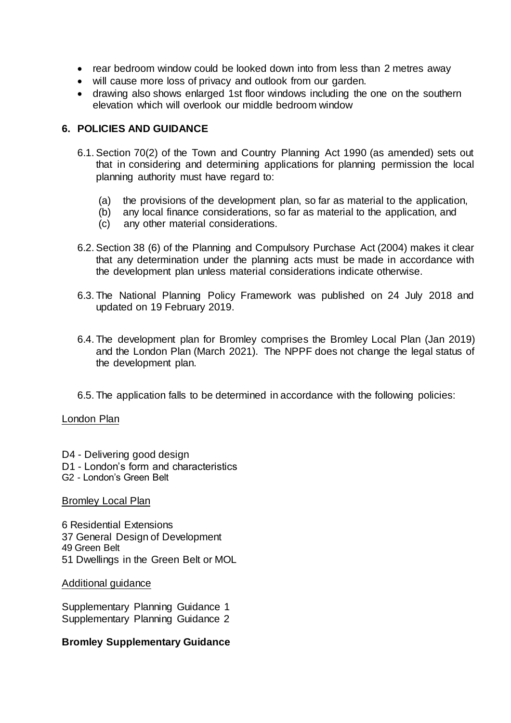- rear bedroom window could be looked down into from less than 2 metres away
- will cause more loss of privacy and outlook from our garden.
- drawing also shows enlarged 1st floor windows including the one on the southern elevation which will overlook our middle bedroom window

## **6. POLICIES AND GUIDANCE**

- 6.1.Section 70(2) of the Town and Country Planning Act 1990 (as amended) sets out that in considering and determining applications for planning permission the local planning authority must have regard to:
	- (a) the provisions of the development plan, so far as material to the application,
	- (b) any local finance considerations, so far as material to the application, and (c) any other material considerations.
	- any other material considerations.
- 6.2.Section 38 (6) of the Planning and Compulsory Purchase Act (2004) makes it clear that any determination under the planning acts must be made in accordance with the development plan unless material considerations indicate otherwise.
- 6.3. The National Planning Policy Framework was published on 24 July 2018 and updated on 19 February 2019.
- 6.4. The development plan for Bromley comprises the Bromley Local Plan (Jan 2019) and the London Plan (March 2021). The NPPF does not change the legal status of the development plan.
- 6.5. The application falls to be determined in accordance with the following policies:

### London Plan

- D4 Delivering good design
- D1 London's form and characteristics
- G2 London's Green Belt

### **Bromley Local Plan**

6 Residential Extensions 37 General Design of Development 49 Green Belt 51 Dwellings in the Green Belt or MOL

### Additional guidance

Supplementary Planning Guidance 1 Supplementary Planning Guidance 2

## **Bromley Supplementary Guidance**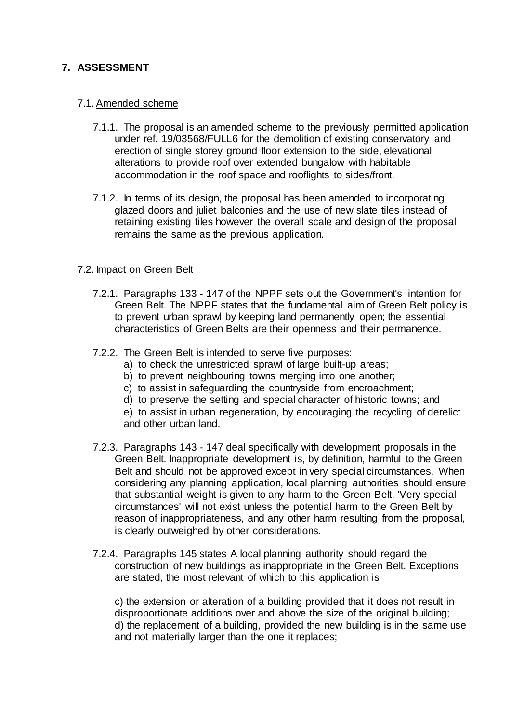## **7. ASSESSMENT**

### 7.1.Amended scheme

- 7.1.1. The proposal is an amended scheme to the previously permitted application under ref. 19/03568/FULL6 for the demolition of existing conservatory and erection of single storey ground floor extension to the side, elevational alterations to provide roof over extended bungalow with habitable accommodation in the roof space and rooflights to sides/front.
- 7.1.2. In terms of its design, the proposal has been amended to incorporating glazed doors and juliet balconies and the use of new slate tiles instead of retaining existing tiles however the overall scale and design of the proposal remains the same as the previous application.

### 7.2. Impact on Green Belt

- 7.2.1. Paragraphs 133 147 of the NPPF sets out the Government's intention for Green Belt. The NPPF states that the fundamental aim of Green Belt policy is to prevent urban sprawl by keeping land permanently open; the essential characteristics of Green Belts are their openness and their permanence.
- 7.2.2. The Green Belt is intended to serve five purposes:
	- a) to check the unrestricted sprawl of large built-up areas;
	- b) to prevent neighbouring towns merging into one another;
	- c) to assist in safeguarding the countryside from encroachment;
	- d) to preserve the setting and special character of historic towns; and
	- e) to assist in urban regeneration, by encouraging the recycling of derelict and other urban land.
- 7.2.3. Paragraphs 143 147 deal specifically with development proposals in the Green Belt. Inappropriate development is, by definition, harmful to the Green Belt and should not be approved except in very special circumstances. When considering any planning application, local planning authorities should ensure that substantial weight is given to any harm to the Green Belt. 'Very special circumstances' will not exist unless the potential harm to the Green Belt by reason of inappropriateness, and any other harm resulting from the proposal, is clearly outweighed by other considerations.
- 7.2.4. Paragraphs 145 states A local planning authority should regard the construction of new buildings as inappropriate in the Green Belt. Exceptions are stated, the most relevant of which to this application is

c) the extension or alteration of a building provided that it does not result in disproportionate additions over and above the size of the original building; d) the replacement of a building, provided the new building is in the same use and not materially larger than the one it replaces;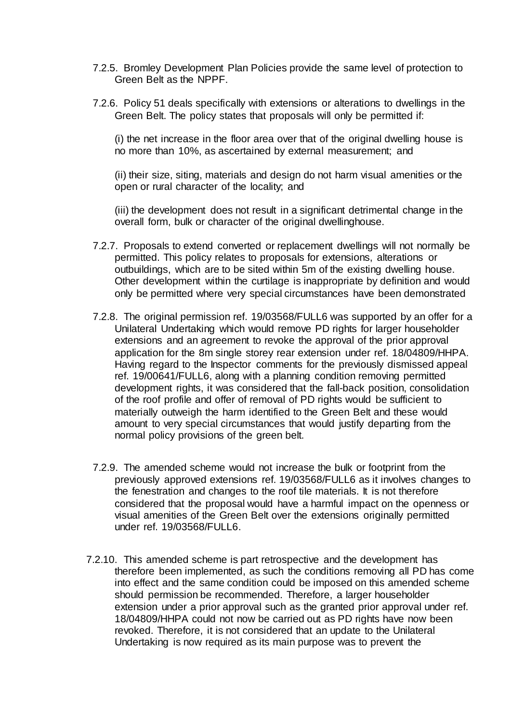- 7.2.5. Bromley Development Plan Policies provide the same level of protection to Green Belt as the NPPF.
- 7.2.6. Policy 51 deals specifically with extensions or alterations to dwellings in the Green Belt. The policy states that proposals will only be permitted if:

(i) the net increase in the floor area over that of the original dwelling house is no more than 10%, as ascertained by external measurement; and

(ii) their size, siting, materials and design do not harm visual amenities or the open or rural character of the locality; and

(iii) the development does not result in a significant detrimental change in the overall form, bulk or character of the original dwellinghouse.

- 7.2.7. Proposals to extend converted or replacement dwellings will not normally be permitted. This policy relates to proposals for extensions, alterations or outbuildings, which are to be sited within 5m of the existing dwelling house. Other development within the curtilage is inappropriate by definition and would only be permitted where very special circumstances have been demonstrated
- 7.2.8. The original permission ref. 19/03568/FULL6 was supported by an offer for a Unilateral Undertaking which would remove PD rights for larger householder extensions and an agreement to revoke the approval of the prior approval application for the 8m single storey rear extension under ref. 18/04809/HHPA. Having regard to the Inspector comments for the previously dismissed appeal ref. 19/00641/FULL6, along with a planning condition removing permitted development rights, it was considered that the fall-back position, consolidation of the roof profile and offer of removal of PD rights would be sufficient to materially outweigh the harm identified to the Green Belt and these would amount to very special circumstances that would justify departing from the normal policy provisions of the green belt.
- 7.2.9. The amended scheme would not increase the bulk or footprint from the previously approved extensions ref. 19/03568/FULL6 as it involves changes to the fenestration and changes to the roof tile materials. It is not therefore considered that the proposal would have a harmful impact on the openness or visual amenities of the Green Belt over the extensions originally permitted under ref. 19/03568/FULL6.
- 7.2.10. This amended scheme is part retrospective and the development has therefore been implemented, as such the conditions removing all PD has come into effect and the same condition could be imposed on this amended scheme should permission be recommended. Therefore, a larger householder extension under a prior approval such as the granted prior approval under ref. 18/04809/HHPA could not now be carried out as PD rights have now been revoked. Therefore, it is not considered that an update to the Unilateral Undertaking is now required as its main purpose was to prevent the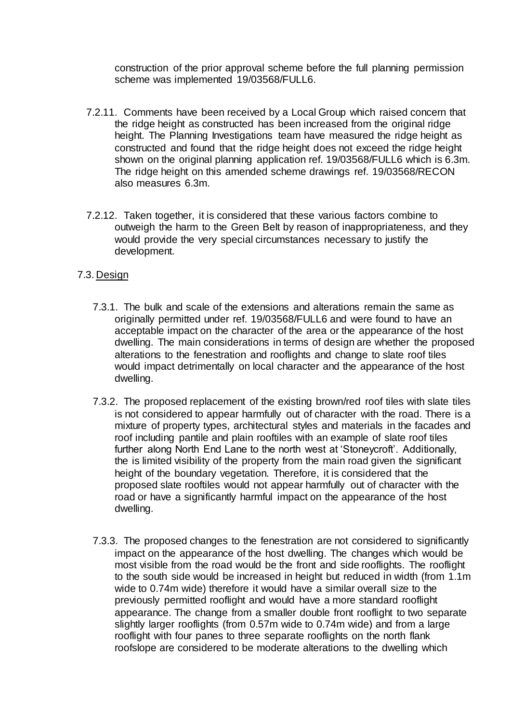construction of the prior approval scheme before the full planning permission scheme was implemented 19/03568/FULL6.

- 7.2.11. Comments have been received by a Local Group which raised concern that the ridge height as constructed has been increased from the original ridge height. The Planning Investigations team have measured the ridge height as constructed and found that the ridge height does not exceed the ridge height shown on the original planning application ref. 19/03568/FULL6 which is 6.3m. The ridge height on this amended scheme drawings ref. 19/03568/RECON also measures 6.3m.
- 7.2.12. Taken together, it is considered that these various factors combine to outweigh the harm to the Green Belt by reason of inappropriateness, and they would provide the very special circumstances necessary to justify the development.
- 7.3. Design
	- 7.3.1. The bulk and scale of the extensions and alterations remain the same as originally permitted under ref. 19/03568/FULL6 and were found to have an acceptable impact on the character of the area or the appearance of the host dwelling. The main considerations in terms of design are whether the proposed alterations to the fenestration and rooflights and change to slate roof tiles would impact detrimentally on local character and the appearance of the host dwelling.
	- 7.3.2. The proposed replacement of the existing brown/red roof tiles with slate tiles is not considered to appear harmfully out of character with the road. There is a mixture of property types, architectural styles and materials in the facades and roof including pantile and plain rooftiles with an example of slate roof tiles further along North End Lane to the north west at 'Stoneycroft'. Additionally, the is limited visibility of the property from the main road given the significant height of the boundary vegetation. Therefore, it is considered that the proposed slate rooftiles would not appear harmfully out of character with the road or have a significantly harmful impact on the appearance of the host dwelling.
	- 7.3.3. The proposed changes to the fenestration are not considered to significantly impact on the appearance of the host dwelling. The changes which would be most visible from the road would be the front and side rooflights. The rooflight to the south side would be increased in height but reduced in width (from 1.1m wide to 0.74m wide) therefore it would have a similar overall size to the previously permitted rooflight and would have a more standard rooflight appearance. The change from a smaller double front rooflight to two separate slightly larger rooflights (from 0.57m wide to 0.74m wide) and from a large rooflight with four panes to three separate rooflights on the north flank roofslope are considered to be moderate alterations to the dwelling which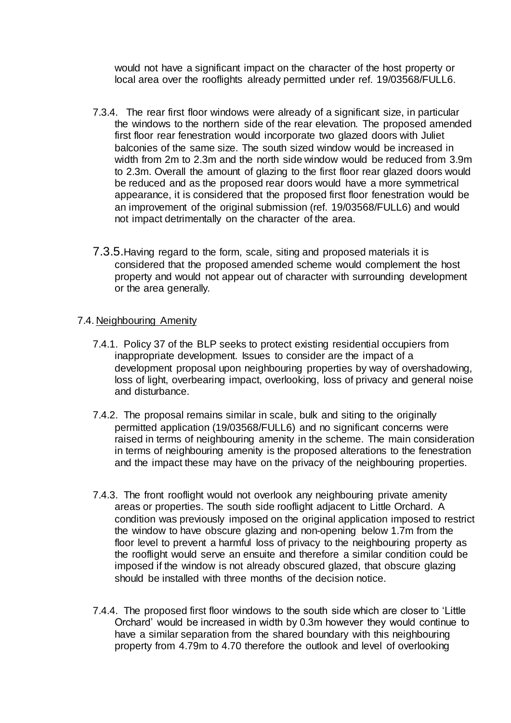would not have a significant impact on the character of the host property or local area over the rooflights already permitted under ref. 19/03568/FULL6.

- 7.3.4. The rear first floor windows were already of a significant size, in particular the windows to the northern side of the rear elevation. The proposed amended first floor rear fenestration would incorporate two glazed doors with Juliet balconies of the same size. The south sized window would be increased in width from 2m to 2.3m and the north side window would be reduced from 3.9m to 2.3m. Overall the amount of glazing to the first floor rear glazed doors would be reduced and as the proposed rear doors would have a more symmetrical appearance, it is considered that the proposed first floor fenestration would be an improvement of the original submission (ref. 19/03568/FULL6) and would not impact detrimentally on the character of the area.
- 7.3.5.Having regard to the form, scale, siting and proposed materials it is considered that the proposed amended scheme would complement the host property and would not appear out of character with surrounding development or the area generally.

## 7.4. Neighbouring Amenity

- 7.4.1. Policy 37 of the BLP seeks to protect existing residential occupiers from inappropriate development. Issues to consider are the impact of a development proposal upon neighbouring properties by way of overshadowing, loss of light, overbearing impact, overlooking, loss of privacy and general noise and disturbance.
- 7.4.2. The proposal remains similar in scale, bulk and siting to the originally permitted application (19/03568/FULL6) and no significant concerns were raised in terms of neighbouring amenity in the scheme. The main consideration in terms of neighbouring amenity is the proposed alterations to the fenestration and the impact these may have on the privacy of the neighbouring properties.
- 7.4.3. The front rooflight would not overlook any neighbouring private amenity areas or properties. The south side rooflight adjacent to Little Orchard. A condition was previously imposed on the original application imposed to restrict the window to have obscure glazing and non-opening below 1.7m from the floor level to prevent a harmful loss of privacy to the neighbouring property as the rooflight would serve an ensuite and therefore a similar condition could be imposed if the window is not already obscured glazed, that obscure glazing should be installed with three months of the decision notice.
- 7.4.4. The proposed first floor windows to the south side which are closer to 'Little Orchard' would be increased in width by 0.3m however they would continue to have a similar separation from the shared boundary with this neighbouring property from 4.79m to 4.70 therefore the outlook and level of overlooking